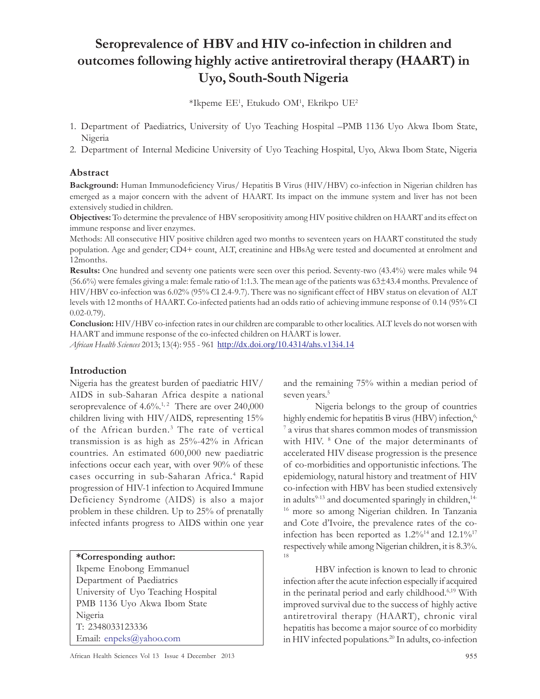# Seroprevalence of HBV and HIV co-infection in children and outcomes following highly active antiretroviral therapy (HAART) in Uyo, South-South Nigeria

 $*$ Ikpeme EE<sup>1</sup>, Etukudo OM<sup>1</sup>, Ekrikpo UE<sup>2</sup>

- 1. Department of Paediatrics, University of Uyo Teaching Hospital –PMB 1136 Uyo Akwa Ibom State, Nigeria
- 2. Department of Internal Medicine University of Uyo Teaching Hospital, Uyo, Akwa Ibom State, Nigeria

## Abstract

Background: Human Immunodeficiency Virus/ Hepatitis B Virus (HIV/HBV) co-infection in Nigerian children has emerged as a major concern with the advent of HAART. Its impact on the immune system and liver has not been extensively studied in children.

Objectives: To determine the prevalence of HBV seropositivity among HIV positive children on HAART and its effect on immune response and liver enzymes.

Methods: All consecutive HIV positive children aged two months to seventeen years on HAART constituted the study population. Age and gender; CD4+ count, ALT, creatinine and HBsAg were tested and documented at enrolment and 12months.

Results: One hundred and seventy one patients were seen over this period. Seventy-two (43.4%) were males while 94 (56.6%) were females giving a male: female ratio of 1:1.3. The mean age of the patients was 63±43.4 months. Prevalence of HIV/HBV co-infection was 6.02% (95% CI 2.4-9.7). There was no significant effect of HBV status on elevation of ALT levels with 12 months of HAART. Co-infected patients had an odds ratio of achieving immune response of 0.14 (95% CI  $(0.02 - 0.79)$ .

Conclusion: HIV/HBV co-infection rates in our children are comparable to other localities. ALT levels do not worsen with HAART and immune response of the co-infected children on HAART is lower.

African Health Sciences 2013; 13(4): 955 - 961 http://dx.doi.org/10.4314/ahs.v13i4.14

## Introduction

Nigeria has the greatest burden of paediatric HIV/ AIDS in sub-Saharan Africa despite a national seroprevalence of  $4.6\%$ <sup>1,2</sup> There are over 240,000 children living with HIV/AIDS, representing 15% of the African burden.<sup>3</sup> The rate of vertical transmission is as high as 25%-42% in African countries. An estimated 600,000 new paediatric infections occur each year, with over 90% of these cases occurring in sub-Saharan Africa.<sup>4</sup> Rapid progression of HIV-1 infection to Acquired Immune Deficiency Syndrome (AIDS) is also a major problem in these children. Up to 25% of prenatally infected infants progress to AIDS within one year

#### \*Corresponding author:

Ikpeme Enobong Emmanuel Department of Paediatrics University of Uyo Teaching Hospital PMB 1136 Uyo Akwa Ibom State Nigeria T: 2348033123336 Email: enpeks@yahoo.com

and the remaining 75% within a median period of seven years.<sup>5</sup>

Nigeria belongs to the group of countries highly endemic for hepatitis B virus (HBV) infection,<sup>6,</sup> 7 a virus that shares common modes of transmission with HIV. 8 One of the major determinants of accelerated HIV disease progression is the presence of co-morbidities and opportunistic infections. The epidemiology, natural history and treatment of HIV co-infection with HBV has been studied extensively in adults $9-13$  and documented sparingly in children, $14-$ <sup>16</sup> more so among Nigerian children. In Tanzania and Cote d'Ivoire, the prevalence rates of the coinfection has been reported as  $1.2\%^{14}$  and  $12.1\%^{17}$ respectively while among Nigerian children, it is 8.3%. 18

HBV infection is known to lead to chronic infection after the acute infection especially if acquired in the perinatal period and early childhood.6,19 With improved survival due to the success of highly active antiretroviral therapy (HAART), chronic viral hepatitis has become a major source of co morbidity in HIV infected populations. 20 In adults, co-infection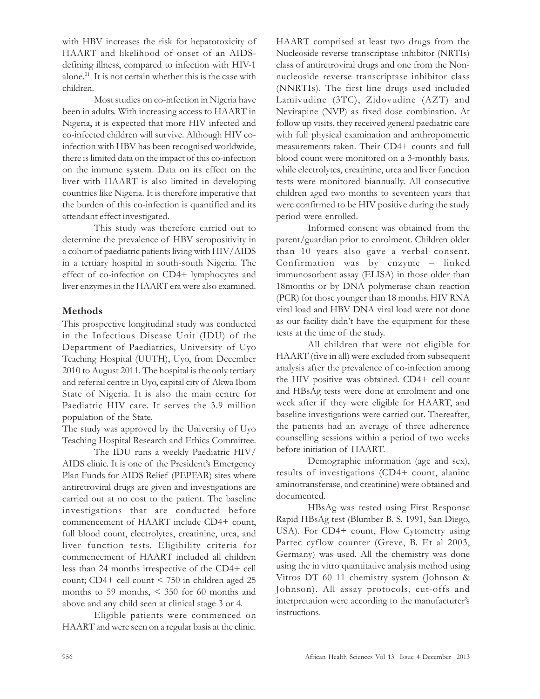with HBV increases the risk for hepatotoxicity of HAART and likelihood of onset of an AIDSdefining illness, compared to infection with HIV-1 alone.<sup>21</sup> It is not certain whether this is the case with children.

Most studies on co-infection in Nigeria have been in adults. With increasing access to HAART in Nigeria, it is expected that more HIV infected and co-infected children will survive. Although HIV coinfection with HBV has been recognised worldwide, there is limited data on the impact of this co-infection on the immune system. Data on its effect on the liver with HAART is also limited in developing countries like Nigeria. It is therefore imperative that the burden of this co-infection is quantified and its attendant effect investigated.

This study was therefore carried out to determine the prevalence of HBV seropositivity in a cohort of paediatric patients living with HIV/AIDS in a tertiary hospital in south-south Nigeria. The effect of co-infection on CD4+ lymphocytes and liver enzymes in the HAART era were also examined.

## Methods

This prospective longitudinal study was conducted in the Infectious Disease Unit (IDU) of the Department of Paediatrics, University of Uyo Teaching Hospital (UUTH), Uyo, from December 2010 to August 2011. The hospital is the only tertiary and referral centre in Uyo, capital city of Akwa Ibom State of Nigeria. It is also the main centre for Paediatric HIV care. It serves the 3.9 million population of the State.

The study was approved by the University of Uyo Teaching Hospital Research and Ethics Committee.

The IDU runs a weekly Paediatric HIV/ AIDS clinic. It is one of the President's Emergency Plan Funds for AIDS Relief (PEPFAR) sites where antiretroviral drugs are given and investigations are carried out at no cost to the patient. The baseline investigations that are conducted before commencement of HAART include CD4+ count, full blood count, electrolytes, creatinine, urea, and liver function tests. Eligibility criteria for commencement of HAART included all children less than 24 months irrespective of the CD4+ cell count; CD4+ cell count < 750 in children aged 25 months to 59 months, < 350 for 60 months and above and any child seen at clinical stage 3 or 4.

Eligible patients were commenced on HAART and were seen on a regular basis at the clinic.

HAART comprised at least two drugs from the Nucleoside reverse transcriptase inhibitor (NRTIs) class of antiretroviral drugs and one from the Nonnucleoside reverse transcriptase inhibitor class (NNRTIs). The first line drugs used included Lamivudine (3TC), Zidovudine (AZT) and Nevirapine (NVP) as fixed dose combination. At follow up visits, they received general paediatric care with full physical examination and anthropometric measurements taken. Their CD4+ counts and full blood count were monitored on a 3-monthly basis, while electrolytes, creatinine, urea and liver function tests were monitored biannually. All consecutive children aged two months to seventeen years that were confirmed to be HIV positive during the study period were enrolled.

Informed consent was obtained from the parent/guardian prior to enrolment. Children older than 10 years also gave a verbal consent. Confirmation was by enzyme – linked immunosorbent assay (ELISA) in those older than 18months or by DNA polymerase chain reaction (PCR) for those younger than 18 months. HIV RNA viral load and HBV DNA viral load were not done as our facility didn't have the equipment for these tests at the time of the study.

All children that were not eligible for HAART (five in all) were excluded from subsequent analysis after the prevalence of co-infection among the HIV positive was obtained. CD4+ cell count and HBsAg tests were done at enrolment and one week after if they were eligible for HAART, and baseline investigations were carried out. Thereafter, the patients had an average of three adherence counselling sessions within a period of two weeks before initiation of HAART.

Demographic information (age and sex), results of investigations (CD4+ count, alanine aminotransferase, and creatinine) were obtained and documented.

HBsAg was tested using First Response Rapid HBsAg test (Blumber B. S. 1991, San Diego, USA). For CD4+ count, Flow Cytometry using Partec cyflow counter (Greve, B. Et al 2003, Germany) was used. All the chemistry was done using the in vitro quantitative analysis method using Vitros DT 60 11 chemistry system (Johnson & Johnson). All assay protocols, cut-offs and interpretation were according to the manufacturer's instructions.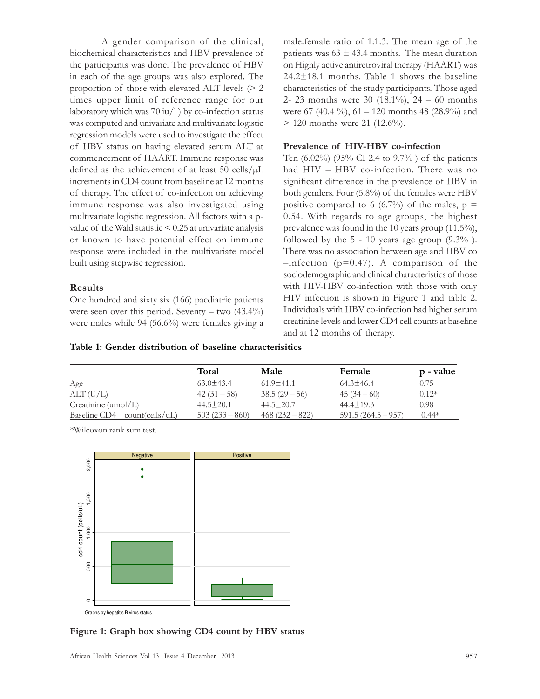A gender comparison of the clinical, biochemical characteristics and HBV prevalence of the participants was done. The prevalence of HBV in each of the age groups was also explored. The proportion of those with elevated ALT levels (> 2 times upper limit of reference range for our laboratory which was  $70 \text{ iu/l}$  ) by co-infection status was computed and univariate and multivariate logistic regression models were used to investigate the effect of HBV status on having elevated serum ALT at commencement of HAART. Immune response was defined as the achievement of at least 50 cells/µL increments in CD4 count from baseline at 12 months of therapy. The effect of co-infection on achieving immune response was also investigated using multivariate logistic regression. All factors with a pvalue of the Wald statistic < 0.25 at univariate analysis or known to have potential effect on immune response were included in the multivariate model built using stepwise regression.

#### Results

One hundred and sixty six (166) paediatric patients were seen over this period. Seventy – two  $(43.4\%)$ were males while 94 (56.6%) were females giving a male:female ratio of 1:1.3. The mean age of the patients was  $63 \pm 43.4$  months. The mean duration on Highly active antiretroviral therapy (HAART) was 24.2±18.1 months. Table 1 shows the baseline characteristics of the study participants. Those aged 2- 23 months were 30 (18.1%), 24 – 60 months were 67 (40.4 %), 61 – 120 months 48 (28.9%) and > 120 months were 21 (12.6%).

#### Prevalence of HIV-HBV co-infection

Ten (6.02%) (95% CI 2.4 to 9.7% ) of the patients had HIV – HBV co-infection. There was no significant difference in the prevalence of HBV in both genders. Four (5.8%) of the females were HBV positive compared to 6 (6.7%) of the males,  $p =$ 0.54. With regards to age groups, the highest prevalence was found in the 10 years group (11.5%), followed by the  $5 - 10$  years age group  $(9.3\%)$ . There was no association between age and HBV co  $-$ infection (p=0.47). A comparison of the sociodemographic and clinical characteristics of those with HIV-HBV co-infection with those with only HIV infection is shown in Figure 1 and table 2. Individuals with HBV co-infection had higher serum creatinine levels and lower CD4 cell counts at baseline and at 12 months of therapy.

| Table 1: Gender distribution of baseline characterisitics |
|-----------------------------------------------------------|
|-----------------------------------------------------------|

| Total           | Male            | Female             | p - value |
|-----------------|-----------------|--------------------|-----------|
| $63.0 \pm 43.4$ | $61.9 \pm 41.1$ | $64.3 \pm 46.4$    | 0.75      |
| $42(31-58)$     | $38.5(29-56)$   | $45(34-60)$        | $0.12*$   |
| $44.5 \pm 20.1$ | $44.5 \pm 20.7$ | $44.4 \pm 19.3$    | 0.98      |
| $503(233-860)$  | $468(232-822)$  | $591.5(264.5-957)$ | $0.44*$   |
|                 |                 |                    |           |

\*Wilcoxon rank sum test.



Figure 1: Graph box showing CD4 count by HBV status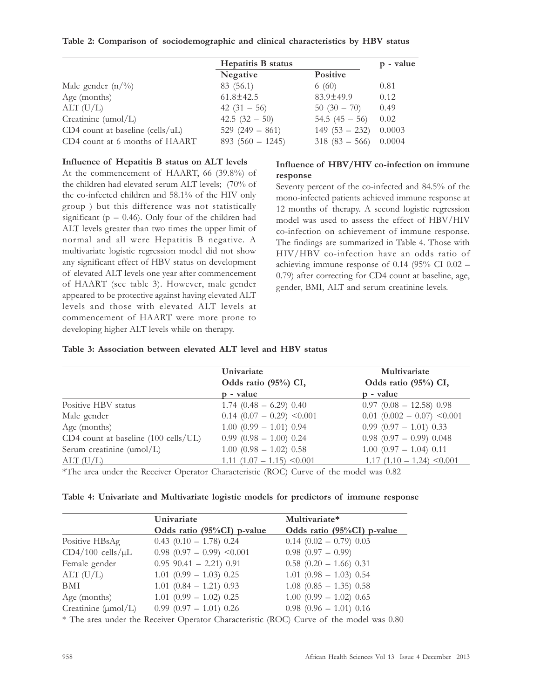#### Table 2: Comparison of sociodemographic and clinical characteristics by HBV status

|                                      | <b>Hepatitis B status</b> |                  | p - value |
|--------------------------------------|---------------------------|------------------|-----------|
|                                      | Negative                  | <b>Positive</b>  |           |
| Male gender $(n/\gamma_0)$           | 83 (56.1)                 | 6(60)            | 0.81      |
| Age (months)                         | $61.8 \pm 42.5$           | $83.9 \pm 49.9$  | 0.12      |
| ALT(U/L)                             | 42 $(31 - 56)$            | $50(30-70)$      | 0.49      |
| Creatinine (umol/L)                  | 42.5 $(32 - 50)$          | 54.5 $(45 - 56)$ | 0.02      |
| CD4 count at baseline (cells/ $uL$ ) | 529 $(249 - 861)$         | $149(53 - 232)$  | 0.0003    |
| CD4 count at 6 months of HAART       | $893(560 - 1245)$         | $318(83 - 566)$  | 0.0004    |

#### Influence of Hepatitis B status on ALT levels

At the commencement of HAART, 66 (39.8%) of the children had elevated serum ALT levels; (70% of the co-infected children and 58.1% of the HIV only group ) but this difference was not statistically significant ( $p = 0.46$ ). Only four of the children had ALT levels greater than two times the upper limit of normal and all were Hepatitis B negative. A multivariate logistic regression model did not show any significant effect of HBV status on development of elevated ALT levels one year after commencement of HAART (see table 3). However, male gender appeared to be protective against having elevated ALT levels and those with elevated ALT levels at commencement of HAART were more prone to developing higher ALT levels while on therapy.

#### Influence of HBV/HIV co-infection on immune response

Seventy percent of the co-infected and 84.5% of the mono-infected patients achieved immune response at 12 months of therapy. A second logistic regression model was used to assess the effect of HBV/HIV co-infection on achievement of immune response. The findings are summarized in Table 4. Those with HIV/HBV co-infection have an odds ratio of achieving immune response of 0.14 (95% CI 0.02 – 0.79) after correcting for CD4 count at baseline, age, gender, BMI, ALT and serum creatinine levels.

### Table 3: Association between elevated ALT level and HBV status

|                                      | Univariate<br>Odds ratio (95%) CI, | Multivariate<br>Odds ratio (95%) CI, |
|--------------------------------------|------------------------------------|--------------------------------------|
|                                      | p - value                          | p - value                            |
| Positive HBV status                  | $1.74$ (0.48 - 6.29) 0.40          | $0.97$ $(0.08 - 12.58)$ 0.98         |
| Male gender                          | $0.14$ (0.07 - 0.29) < 0.001       | $0.01$ $(0.002 - 0.07)$ <0.001       |
| Age (months)                         | $1.00$ $(0.99 - 1.01)$ 0.94        | $0.99$ $(0.97 - 1.01)$ $0.33$        |
| CD4 count at baseline (100 cells/UL) | $0.99$ $(0.98 - 1.00)$ $0.24$      | $0.98$ (0.97 - 0.99) 0.048           |
| Serum creatinine (umol/L)            | $1.00$ $(0.98 - 1.02)$ $0.58$      | $1.00$ $(0.97 - 1.04)$ 0.11          |
| $\text{ALT}(\text{U/L})$             | $1.11$ $(1.07 - 1.15)$ < 0.001     | $1.17(1.10 - 1.24) \le 0.001$        |

\*The area under the Receiver Operator Characteristic (ROC) Curve of the model was 0.82

|  | Table 4: Univariate and Multivariate logistic models for predictors of immune response |  |  |  |  |
|--|----------------------------------------------------------------------------------------|--|--|--|--|
|  |                                                                                        |  |  |  |  |

|                                 | Univariate                     | Multivariate*                 |  |  |  |
|---------------------------------|--------------------------------|-------------------------------|--|--|--|
|                                 | Odds ratio (95%CI) p-value     | Odds ratio (95%CI) p-value    |  |  |  |
| Positive HBsAg                  | $0.43$ $(0.10 - 1.78)$ $0.24$  | $0.14$ $(0.02 - 0.79)$ 0.03   |  |  |  |
| $CD4/100$ cells/ $\mu$ L        | $0.98$ $(0.97 - 0.99)$ < 0.001 | $0.98$ $(0.97 - 0.99)$        |  |  |  |
| Female gender                   | $0.95$ 90.41 - 2.21) 0.91      | $0.58$ $(0.20 - 1.66)$ 0.31   |  |  |  |
| ALT(U/L)                        | $1.01$ $(0.99 - 1.03)$ $0.25$  | $1.01$ $(0.98 - 1.03)$ $0.54$ |  |  |  |
| <b>BMI</b>                      | $1.01$ $(0.84 - 1.21)$ 0.93    | $1.08$ $(0.85 - 1.35)$ 0.58   |  |  |  |
| Age (months)                    | $1.01$ $(0.99 - 1.02)$ 0.25    | $1.00$ $(0.99 - 1.02)$ 0.65   |  |  |  |
| Creatinine $(\mu \text{mol/L})$ | $0.99(0.97 - 1.01)0.26$        | $0.98$ $(0.96 - 1.01)$ 0.16   |  |  |  |

\* The area under the Receiver Operator Characteristic (ROC) Curve of the model was 0.80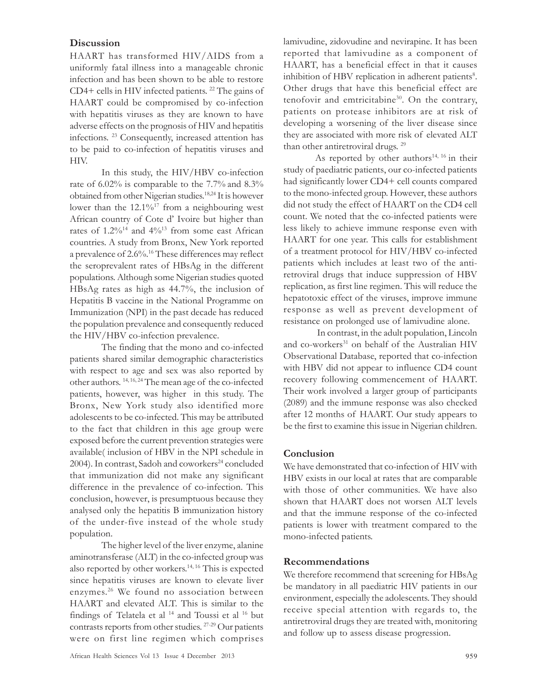## **Discussion**

HAART has transformed HIV/AIDS from a uniformly fatal illness into a manageable chronic infection and has been shown to be able to restore CD4+ cells in HIV infected patients. <sup>22</sup> The gains of HAART could be compromised by co-infection with hepatitis viruses as they are known to have adverse effects on the prognosis of HIV and hepatitis infections. <sup>23</sup> Consequently, increased attention has to be paid to co-infection of hepatitis viruses and HIV.

In this study, the HIV/HBV co-infection rate of 6.02% is comparable to the 7.7% and 8.3% obtained from other Nigerian studies. 18,24 It is however lower than the 12.1%<sup>17</sup> from a neighbouring west African country of Cote d' Ivoire but higher than rates of  $1.2\%^{14}$  and  $4\%^{13}$  from some east African countries. A study from Bronx, New York reported a prevalence of 2.6%.<sup>16</sup> These differences may reflect the seroprevalent rates of HBsAg in the different populations. Although some Nigerian studies quoted HBsAg rates as high as 44.7%, the inclusion of Hepatitis B vaccine in the National Programme on Immunization (NPI) in the past decade has reduced the population prevalence and consequently reduced the HIV/HBV co-infection prevalence.

The finding that the mono and co-infected patients shared similar demographic characteristics with respect to age and sex was also reported by other authors. 14, 16, 24 The mean age of the co-infected patients, however, was higher in this study. The Bronx, New York study also identified more adolescents to be co-infected. This may be attributed to the fact that children in this age group were exposed before the current prevention strategies were available( inclusion of HBV in the NPI schedule in 2004). In contrast, Sadoh and coworkers<sup>24</sup> concluded that immunization did not make any significant difference in the prevalence of co-infection. This conclusion, however, is presumptuous because they analysed only the hepatitis B immunization history of the under-five instead of the whole study population.

The higher level of the liver enzyme, alanine aminotransferase (ALT) in the co-infected group was also reported by other workers.14, 16 This is expected since hepatitis viruses are known to elevate liver enzymes. <sup>26</sup> We found no association between HAART and elevated ALT. This is similar to the findings of Telatela et al <sup>14</sup> and Toussi et al <sup>16</sup> but contrasts reports from other studies. 27-29 Our patients were on first line regimen which comprises lamivudine, zidovudine and nevirapine. It has been reported that lamivudine as a component of HAART, has a beneficial effect in that it causes inhibition of HBV replication in adherent patients $8$ . Other drugs that have this beneficial effect are tenofovir and emtricitabine<sup>30</sup>. On the contrary, patients on protease inhibitors are at risk of developing a worsening of the liver disease since they are associated with more risk of elevated ALT than other antiretroviral drugs. 29

As reported by other authors<sup>14, 16</sup> in their study of paediatric patients, our co-infected patients had significantly lower CD4+ cell counts compared to the mono-infected group. However, these authors did not study the effect of HAART on the CD4 cell count. We noted that the co-infected patients were less likely to achieve immune response even with HAART for one year. This calls for establishment of a treatment protocol for HIV/HBV co-infected patients which includes at least two of the antiretroviral drugs that induce suppression of HBV replication, as first line regimen. This will reduce the hepatotoxic effect of the viruses, improve immune response as well as prevent development of resistance on prolonged use of lamivudine alone.

 In contrast, in the adult population, Lincoln and co-workers<sup>31</sup> on behalf of the Australian HIV Observational Database, reported that co-infection with HBV did not appear to influence CD4 count recovery following commencement of HAART. Their work involved a larger group of participants (2089) and the immune response was also checked after 12 months of HAART. Our study appears to be the first to examine this issue in Nigerian children.

## **Conclusion**

We have demonstrated that co-infection of HIV with HBV exists in our local at rates that are comparable with those of other communities. We have also shown that HAART does not worsen ALT levels and that the immune response of the co-infected patients is lower with treatment compared to the mono-infected patients.

## Recommendations

We therefore recommend that screening for HBsAg be mandatory in all paediatric HIV patients in our environment, especially the adolescents. They should receive special attention with regards to, the antiretroviral drugs they are treated with, monitoring and follow up to assess disease progression.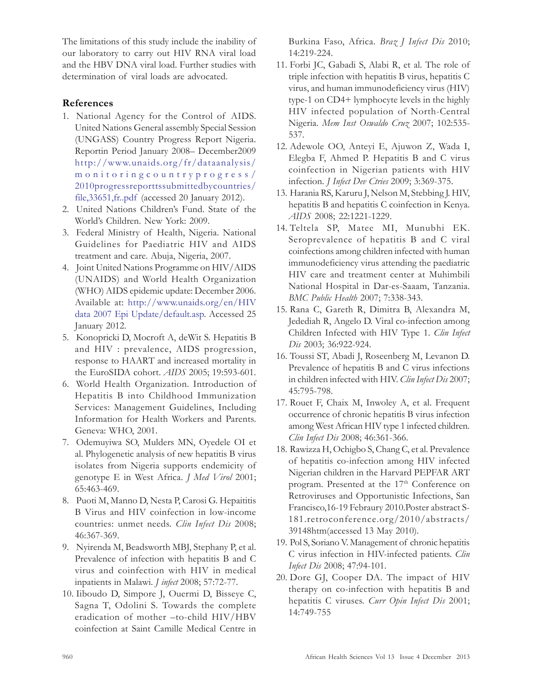The limitations of this study include the inability of our laboratory to carry out HIV RNA viral load and the HBV DNA viral load. Further studies with determination of viral loads are advocated.

# References

- 1. National Agency for the Control of AIDS. United Nations General assembly Special Session (UNGASS) Country Progress Report Nigeria. Reportin Period January 2008– December2009 http://www.unaids.org/fr/dataanalysis/ monitoringcountryprogress/ 2010progressreporttssubmittedbycountries/ file,33651,fr..pdf (accessed 20 January 2012).
- 2. United Nations Children's Fund. State of the World's Children. New York: 2009.
- 3. Federal Ministry of Health, Nigeria. National Guidelines for Paediatric HIV and AIDS treatment and care. Abuja, Nigeria, 2007.
- 4. Joint United Nations Programme on HIV/AIDS (UNAIDS) and World Health Organization (WHO) AIDS epidemic update: December 2006. Available at: http://www.unaids.org/en/HIV data 2007 Epi Update/default.asp. Accessed 25 January 2012.
- 5. Konopricki D, Mocroft A, deWit S. Hepatitis B and HIV : prevalence, AIDS progression, response to HAART and increased mortality in the EuroSIDA cohort. AIDS 2005; 19:593-601.
- 6. World Health Organization. Introduction of Hepatitis B into Childhood Immunization Services: Management Guidelines, Including Information for Health Workers and Parents. Geneva: WHO, 2001.
- 7. Odemuyiwa SO, Mulders MN, Oyedele OI et al. Phylogenetic analysis of new hepatitis B virus isolates from Nigeria supports endemicity of genotype E in West Africa. J Med Virol 2001; 65:463-469.
- 8. Puoti M, Manno D, Nesta P, Carosi G. Hepaititis B Virus and HIV coinfection in low-income countries: unmet needs. Clin Infect Dis 2008; 46:367-369.
- 9. Nyirenda M, Beadsworth MBJ, Stephany P, et al. Prevalence of infection with hepatitis B and C virus and coinfection with HIV in medical inpatients in Malawi. J infect 2008; 57:72-77.
- 10. Iiboudo D, Simpore J, Ouermi D, Bisseye C, Sagna T, Odolini S. Towards the complete eradication of mother –to-child HIV/HBV coinfection at Saint Camille Medical Centre in

Burkina Faso, Africa. Braz J Infect Dis 2010; 14:219-224.

- 11. Forbi JC, Gabadi S, Alabi R, et al. The role of triple infection with hepatitis B virus, hepatitis C virus, and human immunodeficiency virus (HIV) type-1 on CD4+ lymphocyte levels in the highly HIV infected population of North-Central Nigeria. Mem Inst Oswaldo Cruz 2007; 102:535- 537.
- 12. Adewole OO, Anteyi E, Ajuwon Z, Wada I, Elegba F, Ahmed P. Hepatitis B and C virus coinfection in Nigerian patients with HIV infection. J Infect Dev Ctries 2009; 3:369-375.
- 13. Harania RS, Karuru J, Nelson M, Stebbing J. HIV, hepatitis B and hepatitis C coinfection in Kenya. AIDS 2008; 22:1221-1229.
- 14. Teltela SP, Matee MI, Munubhi EK. Seroprevalence of hepatitis B and C viral coinfections among children infected with human immunodeficiency virus attending the paediatric HIV care and treatment center at Muhimbili National Hospital in Dar-es-Saaam, Tanzania. BMC Public Health 2007; 7:338-343.
- 15. Rana C, Gareth R, Dimitra B, Alexandra M, Jedediah R, Angelo D. Viral co-infection among Children Infected with HIV Type 1. Clin Infect Dis 2003; 36:922-924.
- 16. Toussi ST, Abadi J, Roseenberg M, Levanon D. Prevalence of hepatitis B and C virus infections in children infected with HIV. Clin Infect Dis 2007; 45:795-798.
- 17. Rouet F, Chaix M, Inwoley A, et al. Frequent occurrence of chronic hepatitis B virus infection among West African HIV type 1 infected children. Clin Infect Dis 2008; 46:361-366.
- 18. Rawizza H, Ochigbo S, Chang C, et al. Prevalence of hepatitis co-infection among HIV infected Nigerian children in the Harvard PEPFAR ART program. Presented at the 17<sup>th</sup> Conference on Retroviruses and Opportunistic Infections, San Francisco,16-19 Febraury 2010.Poster abstract S-181.retroconference.org/2010/abstracts/ 39148htm(accessed 13 May 2010).
- 19. Pol S, Soriano V. Management of chronic hepatitis C virus infection in HIV-infected patients. Clin Infect Dis 2008; 47:94-101.
- 20. Dore GJ, Cooper DA. The impact of HIV therapy on co-infection with hepatitis B and hepatitis C viruses. Curr Opin Infect Dis 2001; 14:749-755